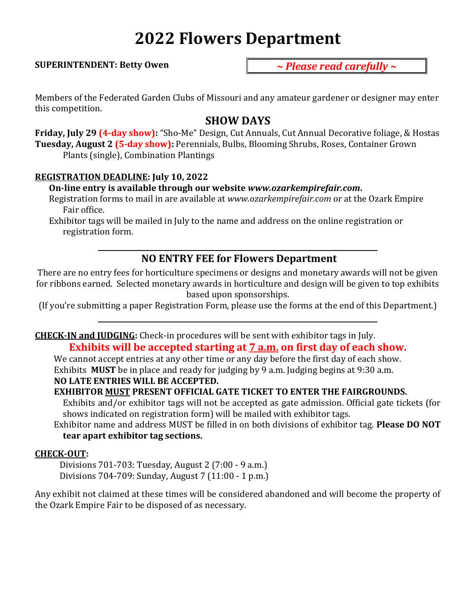# **2022 Flowers Department**

#### **SUPERINTENDENT: Betty Owen**

*~ Please read carefully ~*

Members of the Federated Garden Clubs of Missouri and any amateur gardener or designer may enter this competition.

# **SHOW DAYS**

**Friday, July 29 (4-day show):** "Sho-Me" Design, Cut Annuals, Cut Annual Decorative foliage, & Hostas **Tuesday, August 2 (5-day show):** Perennials, Bulbs, Blooming Shrubs, Roses, Container Grown Plants (single), Combination Plantings

# **REGISTRATION DEADLINE: July 10, 2022**

# **On-line entry is available through our website** *www.ozarkempirefair.com***.**

Registration forms to mail in are available at *www.ozarkempirefair.com* or at the Ozark Empire Fair office.

Exhibitor tags will be mailed in July to the name and address on the online registration or registration form.

# **NO ENTRY FEE for Flowers Department**

There are no entry fees for horticulture specimens or designs and monetary awards will not be given for ribbons earned. Selected monetary awards in horticulture and design will be given to top exhibits based upon sponsorships.

(If you're submitting a paper Registration Form, please use the forms at the end of this Department.)

# **CHECK-IN and JUDGING:** Check-in procedures will be sent with exhibitor tags in July.

# **Exhibits will be accepted starting at 7 a.m. on first day of each show.**

We cannot accept entries at any other time or any day before the first day of each show. Exhibits **MUST** be in place and ready for judging by 9 a.m. Judging begins at 9:30 a.m.

# **NO LATE ENTRIES WILL BE ACCEPTED.**

# **EXHIBITOR MUST PRESENT OFFICIAL GATE TICKET TO ENTER THE FAIRGROUNDS.**

Exhibits and/or exhibitor tags will not be accepted as gate admission. Official gate tickets (for shows indicated on registration form) will be mailed with exhibitor tags.

Exhibitor name and address MUST be filled in on both divisions of exhibitor tag. **Please DO NOT tear apart exhibitor tag sections.**

## **CHECK-OUT:**

Divisions 701-703: Tuesday, August 2 (7:00 - 9 a.m.) Divisions 704-709: Sunday, August 7 (11:00 - 1 p.m.)

Any exhibit not claimed at these times will be considered abandoned and will become the property of the Ozark Empire Fair to be disposed of as necessary.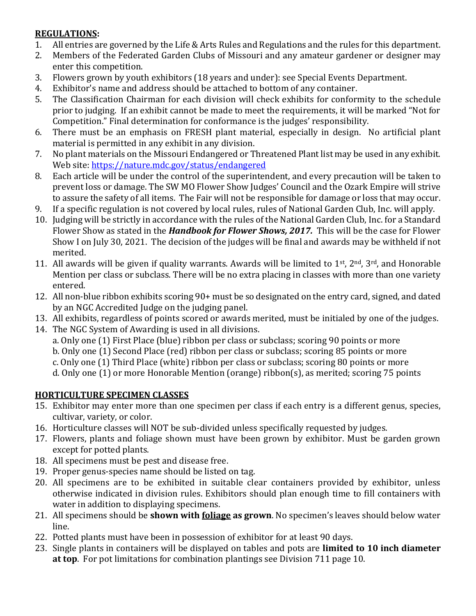# **REGULATIONS:**

- 1. All entries are governed by the Life & Arts Rules and Regulations and the rules for this department.
- 2. Members of the Federated Garden Clubs of Missouri and any amateur gardener or designer may enter this competition.
- 3. Flowers grown by youth exhibitors (18 years and under): see Special Events Department.
- 4. Exhibitor's name and address should be attached to bottom of any container.
- 5. The Classification Chairman for each division will check exhibits for conformity to the schedule prior to judging. If an exhibit cannot be made to meet the requirements, it will be marked "Not for Competition." Final determination for conformance is the judges' responsibility.
- 6. There must be an emphasis on FRESH plant material, especially in design. No artificial plant material is permitted in any exhibit in any division.
- 7. No plant materials on the Missouri Endangered or Threatened Plant list may be used in any exhibit. Web site:<https://nature.mdc.gov/status/endangered>
- 8. Each article will be under the control of the superintendent, and every precaution will be taken to prevent loss or damage. The SW MO Flower Show Judges' Council and the Ozark Empire will strive to assure the safety of all items. The Fair will not be responsible for damage or loss that may occur.
- 9. If a specific regulation is not covered by local rules, rules of National Garden Club, Inc. will apply.
- 10. Judging will be strictly in accordance with the rules of the National Garden Club, Inc. for a Standard Flower Show as stated in the *Handbook for Flower Shows, 2017.* This will be the case for Flower Show I on July 30, 2021. The decision of the judges will be final and awards may be withheld if not merited.
- 11. All awards will be given if quality warrants. Awards will be limited to  $1<sup>st</sup>$ ,  $2<sup>nd</sup>$ ,  $3<sup>rd</sup>$ , and Honorable Mention per class or subclass. There will be no extra placing in classes with more than one variety entered.
- 12. All non-blue ribbon exhibits scoring 90+ must be so designated on the entry card, signed, and dated by an NGC Accredited Judge on the judging panel.
- 13. All exhibits, regardless of points scored or awards merited, must be initialed by one of the judges.
- 14. The NGC System of Awarding is used in all divisions.
	- a. Only one (1) First Place (blue) ribbon per class or subclass; scoring 90 points or more
	- b. Only one (1) Second Place (red) ribbon per class or subclass; scoring 85 points or more
	- c. Only one (1) Third Place (white) ribbon per class or subclass; scoring 80 points or more
	- d. Only one (1) or more Honorable Mention (orange) ribbon(s), as merited; scoring 75 points

# **HORTICULTURE SPECIMEN CLASSES**

- 15. Exhibitor may enter more than one specimen per class if each entry is a different genus, species, cultivar, variety, or color.
- 16. Horticulture classes will NOT be sub-divided unless specifically requested by judges.
- 17. Flowers, plants and foliage shown must have been grown by exhibitor. Must be garden grown except for potted plants.
- 18. All specimens must be pest and disease free.
- 19. Proper genus-species name should be listed on tag.
- 20. All specimens are to be exhibited in suitable clear containers provided by exhibitor, unless otherwise indicated in division rules. Exhibitors should plan enough time to fill containers with water in addition to displaying specimens.
- 21. All specimens should be **shown with foliage as grown**. No specimen's leaves should below water line.
- 22. Potted plants must have been in possession of exhibitor for at least 90 days.
- 23. Single plants in containers will be displayed on tables and pots are **limited to 10 inch diameter at top**. For pot limitations for combination plantings see Division 711 page 10.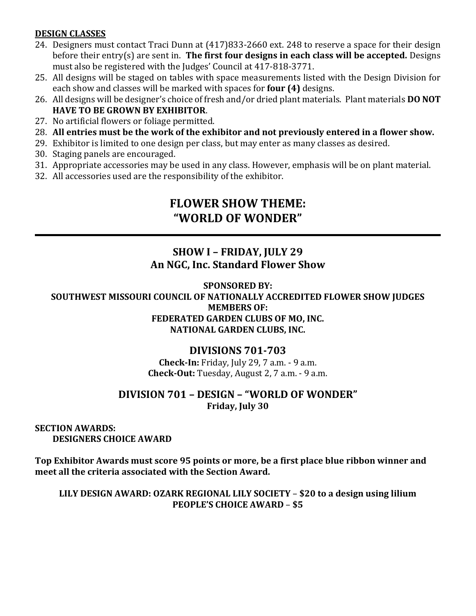# **DESIGN CLASSES**

- 24. Designers must contact Traci Dunn at (417)833-2660 ext. 248 to reserve a space for their design before their entry(s) are sent in. **The first four designs in each class will be accepted.** Designs must also be registered with the Judges' Council at 417-818-3771.
- 25. All designs will be staged on tables with space measurements listed with the Design Division for each show and classes will be marked with spaces for **four (4)** designs.
- 26. All designs will be designer's choice of fresh and/or dried plant materials. Plant materials **DO NOT HAVE TO BE GROWN BY EXHIBITOR**.
- 27. No artificial flowers or foliage permitted.
- 28. **All entries must be the work of the exhibitor and not previously entered in a flower show.**
- 29. Exhibitor is limited to one design per class, but may enter as many classes as desired.
- 30. Staging panels are encouraged.
- 31. Appropriate accessories may be used in any class. However, emphasis will be on plant material.
- 32. All accessories used are the responsibility of the exhibitor.

# **FLOWER SHOW THEME: "WORLD OF WONDER"**

# **SHOW I – FRIDAY, JULY 29 An NGC, Inc. Standard Flower Show**

**SPONSORED BY: SOUTHWEST MISSOURI COUNCIL OF NATIONALLY ACCREDITED FLOWER SHOW JUDGES MEMBERS OF: FEDERATED GARDEN CLUBS OF MO, INC. NATIONAL GARDEN CLUBS, INC.**

# **DIVISIONS 701-703**

**Check-In:** Friday, July 29, 7 a.m. - 9 a.m. **Check-Out:** Tuesday, August 2, 7 a.m. - 9 a.m.

# **DIVISION 701 – DESIGN – "WORLD OF WONDER" Friday, July 30**

# **SECTION AWARDS: DESIGNERS CHOICE AWARD**

**Top Exhibitor Awards must score 95 points or more, be a first place blue ribbon winner and meet all the criteria associated with the Section Award.**

**LILY DESIGN AWARD: OZARK REGIONAL LILY SOCIETY** – **\$20 to a design using lilium PEOPLE'S CHOICE AWARD** – **\$5**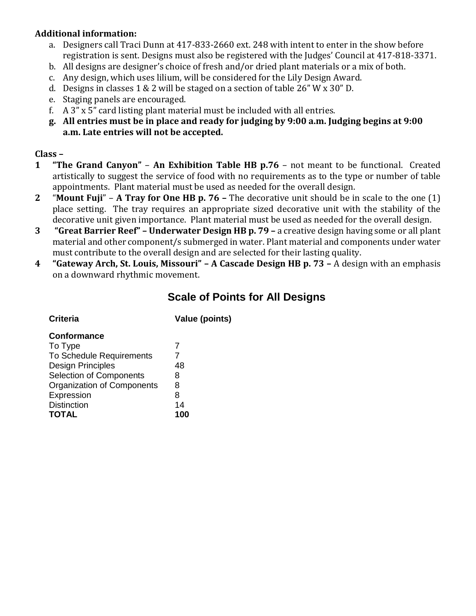# **Additional information:**

- a. Designers call Traci Dunn at 417-833-2660 ext. 248 with intent to enter in the show before registration is sent. Designs must also be registered with the Judges' Council at 417-818-3371.
- b. All designs are designer's choice of fresh and/or dried plant materials or a mix of both.
- c. Any design, which uses lilium, will be considered for the Lily Design Award.
- d. Designs in classes 1 & 2 will be staged on a section of table 26" W x 30" D.
- e. Staging panels are encouraged.
- f. A 3" x 5" card listing plant material must be included with all entries.
- **g. All entries must be in place and ready for judging by 9:00 a.m. Judging begins at 9:00 a.m. Late entries will not be accepted.**

# **Class –**

- **1 "The Grand Canyon" An Exhibition Table HB p.76** not meant to be functional. Created artistically to suggest the service of food with no requirements as to the type or number of table appointments. Plant material must be used as needed for the overall design.
- **2** "**Mount Fuji**" **A Tray for One HB p. 76 –** The decorative unit should be in scale to the one (1) place setting. The tray requires an appropriate sized decorative unit with the stability of the decorative unit given importance. Plant material must be used as needed for the overall design.
- **3 "Great Barrier Reef" – Underwater Design HB p. 79 –** a creative design having some or all plant material and other component/s submerged in water. Plant material and components under water must contribute to the overall design and are selected for their lasting quality.
- **4 "Gateway Arch, St. Louis, Missouri" – A Cascade Design HB p. 73 –** A design with an emphasis on a downward rhythmic movement.

# **Scale of Points for All Designs**

| <b>Criteria</b> |  |
|-----------------|--|
|                 |  |

**Value (points)** 

## **Conformance**

| 7   |
|-----|
| 48  |
| 8   |
| 8   |
| 8   |
| 14  |
| 100 |
|     |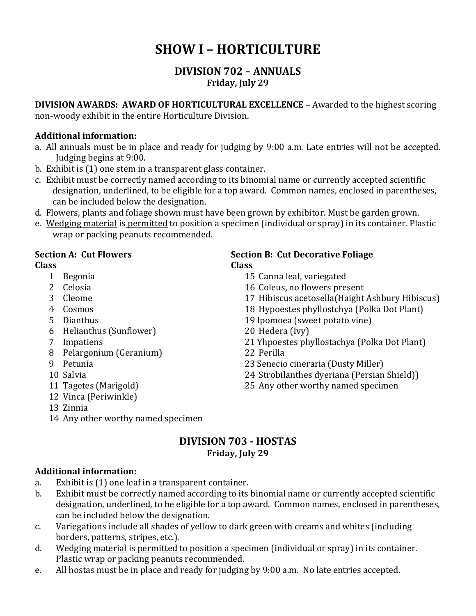# **SHOW I – HORTICULTURE**

# **DIVISION 702 – ANNUALS Friday, July 29**

**DIVISION AWARDS: AWARD OF HORTICULTURAL EXCELLENCE –** Awarded to the highest scoring non-woody exhibit in the entire Horticulture Division.

# **Additional information:**

- a. All annuals must be in place and ready for judging by 9:00 a.m. Late entries will not be accepted. Judging begins at 9:00.
- b. Exhibit is (1) one stem in a transparent glass container.
- c. Exhibit must be correctly named according to its binomial name or currently accepted scientific designation, underlined, to be eligible for a top award. Common names, enclosed in parentheses, can be included below the designation.
- d. Flowers, plants and foliage shown must have been grown by exhibitor. Must be garden grown.
- e. Wedging material is permitted to position a specimen (individual or spray) in its container. Plastic wrap or packing peanuts recommended.

## **Class Class**

- 
- 
- 
- 
- 
- 6 Helianthus (Sunflower) 20 Hedera (Ivy)
- 
- 8 Pelargonium (Geranium) 22 Perilla
- 
- 
- 
- 12 Vinca (Periwinkle)
- 13 Zinnia
- 14 Any other worthy named specimen

# **Section A: Cut Flowers Section B: Cut Decorative Foliage**

- 1 Begonia 15 Canna leaf, variegated
- 2 Celosia 16 Coleus, no flowers present
- 3 Cleome 17 Hibiscus acetosella(Haight Ashbury Hibiscus)
- 4 Cosmos 18 Hypoestes phyllostchya (Polka Dot Plant)
- 5 Dianthus 19 Ipomoea (sweet potato vine)
	-
- 7 Impatiens 21 Yhpoestes phyllostachya (Polka Dot Plant)
	-
- 9 Petunia 23 Senecio cineraria (Dusty Miller)
- 10 Salvia 24 Strobilanthes dyeriana (Persian Shield))
- 11 Tagetes (Marigold) 25 Any other worthy named specimen

# **DIVISION 703 - HOSTAS Friday, July 29**

# **Additional information:**

- a. Exhibit is (1) one leaf in a transparent container.
- b. Exhibit must be correctly named according to its binomial name or currently accepted scientific designation, underlined, to be eligible for a top award. Common names, enclosed in parentheses, can be included below the designation.
- c. Variegations include all shades of yellow to dark green with creams and whites (including borders, patterns, stripes, etc.).
- d. Wedging material is permitted to position a specimen (individual or spray) in its container. Plastic wrap or packing peanuts recommended.
- e. All hostas must be in place and ready for judging by 9:00 a.m. No late entries accepted.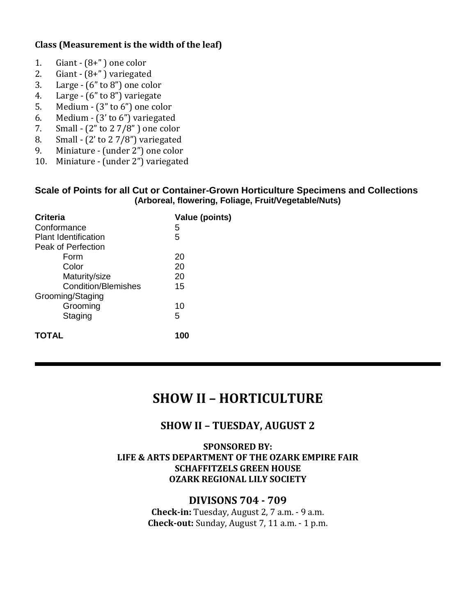# **Class (Measurement is the width of the leaf)**

- 1. Giant  $-(8+$ " ) one color
- 2. Giant  $(8+$ ") variegated
- 3. Large (6" to 8") one color
- 4. Large (6" to 8") variegate
- 5. Medium (3" to 6") one color
- 6. Medium (3' to 6") variegated
- 7. Small (2" to 2 7/8" ) one color
- 8. Small  $(2'$  to  $2\frac{7}{8}'$  variegated
- 9. Miniature (under 2") one color
- 10. Miniature (under 2") variegated

#### **Scale of Points for all Cut or Container-Grown Horticulture Specimens and Collections (Arboreal, flowering, Foliage, Fruit/Vegetable/Nuts)**

| <b>Criteria</b>             | <b>Value (points)</b> |
|-----------------------------|-----------------------|
| Conformance                 | 5                     |
| <b>Plant Identification</b> | 5                     |
| Peak of Perfection          |                       |
| Form                        | 20                    |
| Color                       | 20                    |
| Maturity/size               | 20                    |
| <b>Condition/Blemishes</b>  | 15                    |
| Grooming/Staging            |                       |
| Grooming                    | 10                    |
| Staging                     | 5                     |
| <b>TOTAL</b>                | 100                   |

# **SHOW II – HORTICULTURE**

# **SHOW II – TUESDAY, AUGUST 2**

#### **SPONSORED BY: LIFE & ARTS DEPARTMENT OF THE OZARK EMPIRE FAIR SCHAFFITZELS GREEN HOUSE OZARK REGIONAL LILY SOCIETY**

# **DIVISONS 704 - 709**

**Check-in:** Tuesday, August 2, 7 a.m. - 9 a.m. **Check-out:** Sunday, August 7, 11 a.m. - 1 p.m.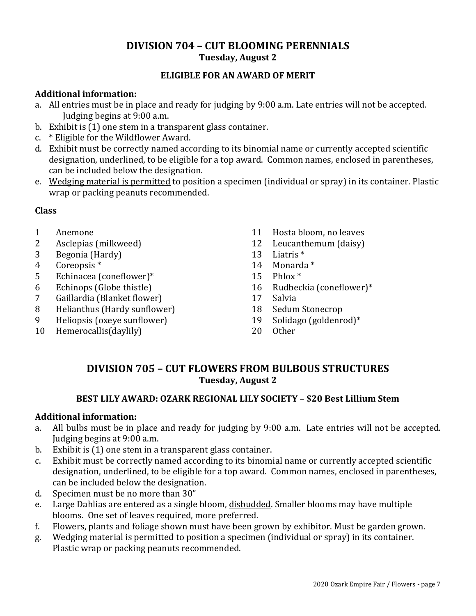# **DIVISION 704 – CUT BLOOMING PERENNIALS Tuesday, August 2**

# **ELIGIBLE FOR AN AWARD OF MERIT**

## **Additional information:**

- a. All entries must be in place and ready for judging by 9:00 a.m. Late entries will not be accepted. Judging begins at 9:00 a.m.
- b. Exhibit is (1) one stem in a transparent glass container.
- c. \* Eligible for the Wildflower Award.
- d. Exhibit must be correctly named according to its binomial name or currently accepted scientific designation, underlined, to be eligible for a top award. Common names, enclosed in parentheses, can be included below the designation.
- e. Wedging material is permitted to position a specimen (individual or spray) in its container. Plastic wrap or packing peanuts recommended.

# **Class**

- 1 Anemone
- 2 Asclepias (milkweed)
- 3 Begonia (Hardy)
- 4 Coreopsis \*
- 5 Echinacea (coneflower)\*
- 6 Echinops (Globe thistle)
- 7 Gaillardia (Blanket flower)
- 8 Helianthus (Hardy sunflower)
- 9 Heliopsis (oxeye sunflower)
- 10 Hemerocallis(daylily)
- 11 Hosta bloom, no leaves
- 12 Leucanthemum (daisy)
- 13 Liatris \*
- 14 Monarda \*
- 15 Phlox \*
- 16 Rudbeckia (coneflower)\*
- 17 Salvia
- 18 Sedum Stonecrop
- 19 Solidago (goldenrod)\*
- 20 Other

# **DIVISION 705 – CUT FLOWERS FROM BULBOUS STRUCTURES Tuesday, August 2**

## **BEST LILY AWARD: OZARK REGIONAL LILY SOCIETY – \$20 Best Lillium Stem**

# **Additional information:**

- a. All bulbs must be in place and ready for judging by 9:00 a.m. Late entries will not be accepted. Judging begins at 9:00 a.m.
- b. Exhibit is (1) one stem in a transparent glass container.
- c. Exhibit must be correctly named according to its binomial name or currently accepted scientific designation, underlined, to be eligible for a top award. Common names, enclosed in parentheses, can be included below the designation.
- d. Specimen must be no more than 30"
- e. Large Dahlias are entered as a single bloom, disbudded. Smaller blooms may have multiple blooms. One set of leaves required, more preferred.
- f. Flowers, plants and foliage shown must have been grown by exhibitor. Must be garden grown.
- g. Wedging material is permitted to position a specimen (individual or spray) in its container. Plastic wrap or packing peanuts recommended.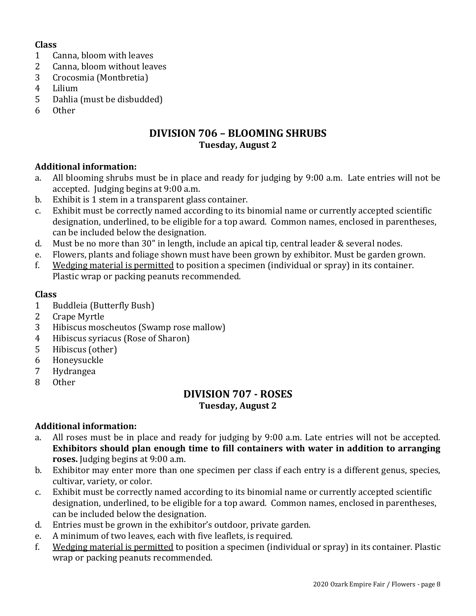# **Class**

- 1 Canna, bloom with leaves
- 2 Canna, bloom without leaves
- 3 Crocosmia (Montbretia)
- 4 Lilium
- 5 Dahlia (must be disbudded)
- 6 Other

# **DIVISION 706 – BLOOMING SHRUBS Tuesday, August 2**

## **Additional information:**

- a. All blooming shrubs must be in place and ready for judging by 9:00 a.m. Late entries will not be accepted. Judging begins at 9:00 a.m.
- b. Exhibit is 1 stem in a transparent glass container.
- c. Exhibit must be correctly named according to its binomial name or currently accepted scientific designation, underlined, to be eligible for a top award. Common names, enclosed in parentheses, can be included below the designation.
- d. Must be no more than 30" in length, include an apical tip, central leader & several nodes.
- e. Flowers, plants and foliage shown must have been grown by exhibitor. Must be garden grown.
- f. Wedging material is permitted to position a specimen (individual or spray) in its container. Plastic wrap or packing peanuts recommended.

## **Class**

- 1 Buddleia (Butterfly Bush)
- 2 Crape Myrtle
- 3 Hibiscus moscheutos (Swamp rose mallow)
- 4 Hibiscus syriacus (Rose of Sharon)
- 5 Hibiscus (other)
- 6 Honeysuckle
- 7 Hydrangea
- 8 Other

# **DIVISION 707 - ROSES Tuesday, August 2**

## **Additional information:**

- a. All roses must be in place and ready for judging by 9:00 a.m. Late entries will not be accepted. **Exhibitors should plan enough time to fill containers with water in addition to arranging roses.** Judging begins at 9:00 a.m.
- b. Exhibitor may enter more than one specimen per class if each entry is a different genus, species, cultivar, variety, or color.
- c. Exhibit must be correctly named according to its binomial name or currently accepted scientific designation, underlined, to be eligible for a top award. Common names, enclosed in parentheses, can be included below the designation.
- d. Entries must be grown in the exhibitor's outdoor, private garden.
- e. A minimum of two leaves, each with five leaflets, is required.
- f. Wedging material is permitted to position a specimen (individual or spray) in its container. Plastic wrap or packing peanuts recommended.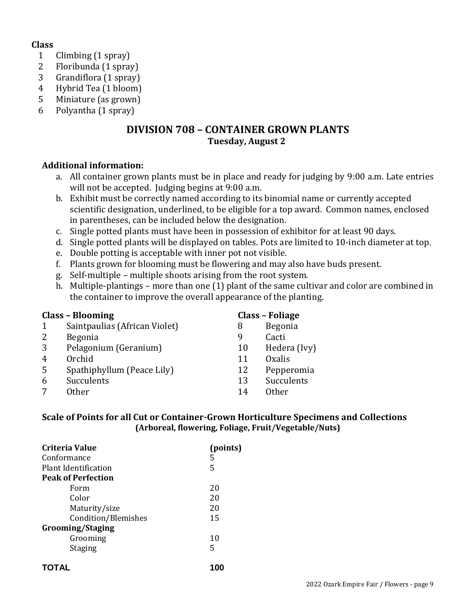#### **Class**

- 1 Climbing (1 spray)
- 2 Floribunda (1 spray)
- 3 Grandiflora (1 spray)
- 4 Hybrid Tea (1 bloom)
- 5 Miniature (as grown)
- 6 Polyantha (1 spray)

# **DIVISION 708 – CONTAINER GROWN PLANTS Tuesday, August 2**

## **Additional information:**

- a. All container grown plants must be in place and ready for judging by 9:00 a.m. Late entries will not be accepted. Judging begins at 9:00 a.m.
- b. Exhibit must be correctly named according to its binomial name or currently accepted scientific designation, underlined, to be eligible for a top award. Common names, enclosed in parentheses, can be included below the designation.
- c. Single potted plants must have been in possession of exhibitor for at least 90 days.
- d. Single potted plants will be displayed on tables. Pots are limited to 10-inch diameter at top.
- e. Double potting is acceptable with inner pot not visible.
- f. Plants grown for blooming must be flowering and may also have buds present.
- g. Self-multiple multiple shoots arising from the root system.
- h. Multiple-plantings more than one (1) plant of the same cultivar and color are combined in the container to improve the overall appearance of the planting.

|                | <b>Class - Blooming</b>       |    | <b>Class - Foliage</b> |
|----------------|-------------------------------|----|------------------------|
| 1              | Saintpaulias (African Violet) | 8  | Begonia                |
| 2              | <b>Begonia</b>                | 9  | Cacti                  |
| 3              | Pelagonium (Geranium)         | 10 | Hedera (Ivy)           |
| $\overline{4}$ | Orchid                        | 11 | <b>Oxalis</b>          |
| 5              | Spathiphyllum (Peace Lily)    | 12 | Pepperomia             |
| 6              | Succulents                    | 13 | Succulents             |
| 7              | Other                         | 14 | 0ther                  |

#### **Scale of Points for all Cut or Container-Grown Horticulture Specimens and Collections (Arboreal, flowering, Foliage, Fruit/Vegetable/Nuts)**

| Criteria Value            | (points) |
|---------------------------|----------|
| Conformance               | 5        |
| Plant Identification      | 5        |
| <b>Peak of Perfection</b> |          |
| Form                      | 20       |
| Color                     | 20       |
| Maturity/size             | 20       |
| Condition/Blemishes       | 15       |
| <b>Grooming/Staging</b>   |          |
| Grooming                  | 10       |
| <b>Staging</b>            | 5        |
|                           |          |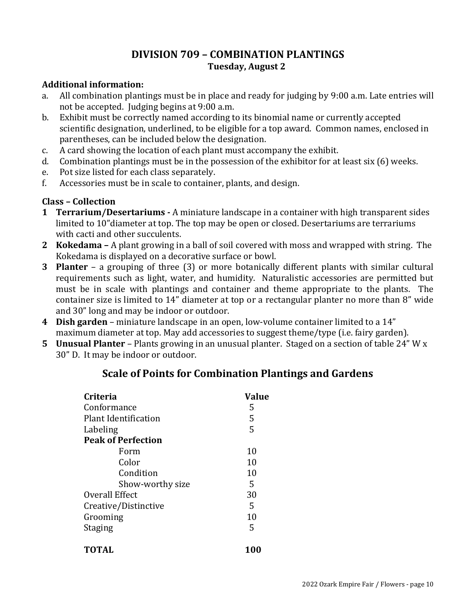# **DIVISION 709 – COMBINATION PLANTINGS Tuesday, August 2**

## **Additional information:**

- a. All combination plantings must be in place and ready for judging by 9:00 a.m. Late entries will not be accepted. Judging begins at 9:00 a.m.
- b. Exhibit must be correctly named according to its binomial name or currently accepted scientific designation, underlined, to be eligible for a top award. Common names, enclosed in parentheses, can be included below the designation.
- c. A card showing the location of each plant must accompany the exhibit.
- d. Combination plantings must be in the possession of the exhibitor for at least six (6) weeks.
- e. Pot size listed for each class separately.
- f. Accessories must be in scale to container, plants, and design.

# **Class – Collection**

- **1 Terrarium/Desertariums -** A miniature landscape in a container with high transparent sides limited to 10"diameter at top. The top may be open or closed. Desertariums are terrariums with cacti and other succulents.
- **2 Kokedama –** A plant growing in a ball of soil covered with moss and wrapped with string. The Kokedama is displayed on a decorative surface or bowl.
- **3 Planter** a grouping of three (3) or more botanically different plants with similar cultural requirements such as light, water, and humidity. Naturalistic accessories are permitted but must be in scale with plantings and container and theme appropriate to the plants. The container size is limited to 14" diameter at top or a rectangular planter no more than 8" wide and 30" long and may be indoor or outdoor.
- **4 Dish garden** miniature landscape in an open, low-volume container limited to a 14" maximum diameter at top. May add accessories to suggest theme/type (i.e. fairy garden).
- **5 Unusual Planter** Plants growing in an unusual planter. Staged on a section of table 24" W x 30" D. It may be indoor or outdoor.

# **Scale of Points for Combination Plantings and Gardens**

| <b>Criteria</b>           | <b>Value</b> |
|---------------------------|--------------|
| Conformance               | 5            |
| Plant Identification      | 5            |
| Labeling                  | 5            |
| <b>Peak of Perfection</b> |              |
| Form                      | 10           |
| Color                     | 10           |
| Condition                 | 10           |
| Show-worthy size          | 5            |
| Overall Effect            | 30           |
| Creative/Distinctive      | 5            |
| Grooming                  | 10           |
| <b>Staging</b>            | 5            |
| <b>TOTAL</b>              | 100          |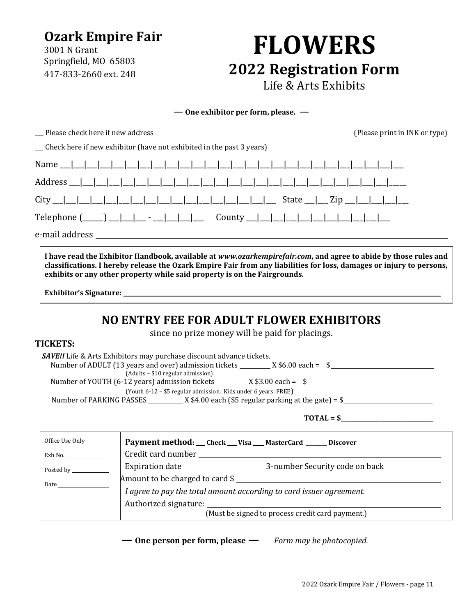# **Ozark Empire Fair**

3001 N Grant Springfield, MO 65803 417-833-2660 ext. 248

# **FLOWERS 2022 Registration Form** Life & Arts Exhibits

**— One exhibitor per form, please. —**

\_\_\_ Please check here if new address (Please print in INK or type)

| Check here if new exhibitor (have not exhibited in the past 3 years) |
|----------------------------------------------------------------------|
|----------------------------------------------------------------------|

| e-mail address |
|----------------|

**I have read the Exhibitor Handbook, available at** *www.ozarkempirefair.com***, and agree to abide by those rules and classifications. I hereby release the Ozark Empire Fair from any liabilities for loss, damages or injury to persons, exhibits or any other property while said property is on the Fairgrounds.**

**Exhibitor's Signature:** 

# **NO ENTRY FEE FOR ADULT FLOWER EXHIBITORS**

since no prize money will be paid for placings.

# **TICKETS:**

| <b>SAVE!!</b> Life & Arts Exhibitors may purchase discount advance tickets.                |  |  |  |  |
|--------------------------------------------------------------------------------------------|--|--|--|--|
| Number of ADULT (13 years and over) admission tickets<br>$X$ \$6.00 each = \$              |  |  |  |  |
| (Adults – \$10 regular admission)                                                          |  |  |  |  |
| Number of YOUTH (6-12 years) admission tickets __________ X \$3.00 each = \$               |  |  |  |  |
| (Youth $6-12 - $5$ regular admission. Kids under 6 years: FREE)                            |  |  |  |  |
| $\_$ X \$4.00 each (\$5 regular parking at the gate) = \$ $\_$<br>Number of PARKING PASSES |  |  |  |  |
|                                                                                            |  |  |  |  |

 $$ 

| Office Use Only | Payment method: __ Check __ Visa __ MasterCard _____ Discover                                                                                                                                                                  |  |  |
|-----------------|--------------------------------------------------------------------------------------------------------------------------------------------------------------------------------------------------------------------------------|--|--|
| Exh No.         |                                                                                                                                                                                                                                |  |  |
| Posted by       | Expiration date ____________<br>3-number Security code on back ________                                                                                                                                                        |  |  |
| Date            | Amount to be charged to card \$                                                                                                                                                                                                |  |  |
|                 | I agree to pay the total amount according to card issuer agreement.                                                                                                                                                            |  |  |
|                 | Authorized signature: 1999 and 2009 and 2009 and 2009 and 2009 and 2009 and 2009 and 2009 and 2009 and 2009 and 2009 and 2009 and 2009 and 2009 and 2009 and 2009 and 2009 and 2009 and 2009 and 2009 and 2009 and 2009 and 20 |  |  |
|                 | (Must be signed to process credit card payment.)                                                                                                                                                                               |  |  |

**— One person per form, please —** *Form may be photocopied.*